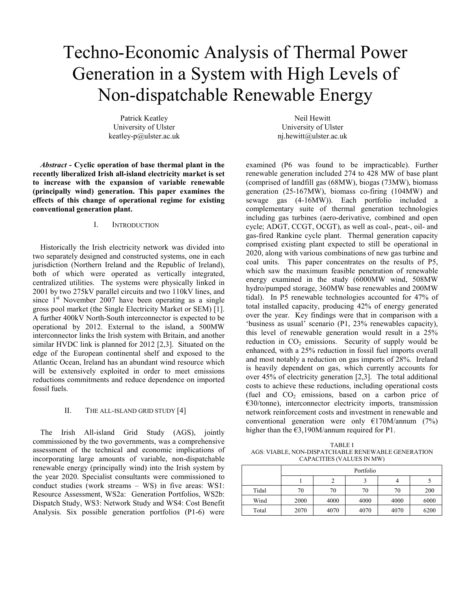# Techno-Economic Analysis of Thermal Power Generation in a System with High Levels of Non-dispatchable Renewable Energy

Patrick Keatley University of Ulster keatley-p@ulster.ac.uk

*Abstract* **- Cyclic operation of base thermal plant in the recently liberalized Irish all-island electricity market is set to increase with the expansion of variable renewable (principally wind) generation. This paper examines the effects of this change of operational regime for existing conventional generation plant.** 

## I. INTRODUCTION

Historically the Irish electricity network was divided into two separately designed and constructed systems, one in each jurisdiction (Northern Ireland and the Republic of Ireland), both of which were operated as vertically integrated, centralized utilities. The systems were physically linked in 2001 by two 275kV parallel circuits and two 110kV lines, and since  $1<sup>st</sup>$  November 2007 have been operating as a single gross pool market (the Single Electricity Market or SEM) [1]. A further 400kV North-South interconnector is expected to be operational by 2012. External to the island, a 500MW interconnector links the Irish system with Britain, and another similar HVDC link is planned for 2012 [2,3]. Situated on the edge of the European continental shelf and exposed to the Atlantic Ocean, Ireland has an abundant wind resource which will be extensively exploited in order to meet emissions reductions commitments and reduce dependence on imported fossil fuels.

## II. THE ALL-ISLAND GRID STUDY [4]

The Irish All-island Grid Study (AGS), jointly commissioned by the two governments, was a comprehensive assessment of the technical and economic implications of incorporating large amounts of variable, non-dispatchable renewable energy (principally wind) into the Irish system by the year 2020. Specialist consultants were commissioned to conduct studies (work streams – WS) in five areas: WS1: Resource Assessment, WS2a: Generation Portfolios, WS2b: Dispatch Study, WS3: Network Study and WS4: Cost Benefit Analysis. Six possible generation portfolios (P1-6) were

Neil Hewitt University of Ulster nj.hewitt@ulster.ac.uk

examined (P6 was found to be impracticable). Further renewable generation included 274 to 428 MW of base plant (comprised of landfill gas (68MW), biogas (73MW), biomass generation (25-167MW), biomass co-firing (104MW) and sewage gas (4-16MW)). Each portfolio included a complementary suite of thermal generation technologies including gas turbines (aero-derivative, combined and open cycle; ADGT, CCGT, OCGT), as well as coal-, peat-, oil- and gas-fired Rankine cycle plant. Thermal generation capacity comprised existing plant expected to still be operational in 2020, along with various combinations of new gas turbine and coal units. This paper concentrates on the results of P5, which saw the maximum feasible penetration of renewable energy examined in the study (6000MW wind, 508MW hydro/pumped storage, 360MW base renewables and 200MW tidal). In P5 renewable technologies accounted for 47% of total installed capacity, producing 42% of energy generated over the year. Key findings were that in comparison with a 'business as usual' scenario (P1, 23% renewables capacity), this level of renewable generation would result in a 25% reduction in  $CO<sub>2</sub>$  emissions. Security of supply would be enhanced, with a 25% reduction in fossil fuel imports overall and most notably a reduction on gas imports of 28%. Ireland is heavily dependent on gas, which currently accounts for over 45% of electricity generation [2,3]. The total additional costs to achieve these reductions, including operational costs (fuel and  $CO<sub>2</sub>$  emissions, based on a carbon price of  $€30$ /tonne), interconnector electricity imports, transmission network reinforcement costs and investment in renewable and conventional generation were only  $E170M/annum$  (7%) higher than the €3,190M/annum required for P1.

TABLE I AGS: VIABLE, NON-DISPATCHABLE RENEWABLE GENERATION CAPACITIES (VALUES IN MW)

|       | Portfolio |      |      |      |      |
|-------|-----------|------|------|------|------|
|       |           | 2    |      |      |      |
| Tidal | 70        | 70   | 70   | 70   | 200  |
| Wind  | 2000      | 4000 | 4000 | 4000 | 6000 |
| Total | 2070      | 4070 | 4070 | 4070 | 6200 |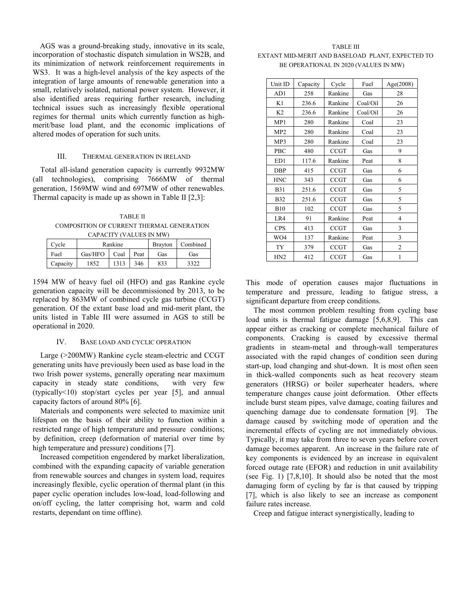AGS was a ground-breaking study, innovative in its scale, incorporation of stochastic dispatch simulation in WS2B, and its minimization of network reinforcement requirements in WS3. It was a high-level analysis of the key aspects of the integration of large amounts of renewable generation into a small, relatively isolated, national power system. However, it also identified areas requiring further research, including technical issues such as increasingly flexible operational regimes for thermal units which currently function as highmerit/base load plant, and the economic implications of altered modes of operation for such units.

## III. THERMAL GENERATION IN IRELAND

Total all-island generation capacity is currently 9932MW (all technologies), comprising 7666MW of thermal generation, 1569MW wind and 697MW of other renewables. Thermal capacity is made up as shown in Table II [2,3]:

TABLE II COMPOSITION OF CURRENT THERMAL GENERATION CAPACITY (VALUES IN MW)

| Cycle    | Rankine |      | <b>Brayton</b> | Combined |     |
|----------|---------|------|----------------|----------|-----|
| Fuel     | Gas/HFO | Coal | Peat           | Gas      | Gas |
| Capacity | 1852    | 1313 | 346            | 833      |     |

1594 MW of heavy fuel oil (HFO) and gas Rankine cycle generation capacity will be decommissioned by 2013, to be replaced by 863MW of combined cycle gas turbine (CCGT) generation. Of the extant base load and mid-merit plant, the units listed in Table III were assumed in AGS to still be operational in 2020.

## IV. BASE LOAD AND CYCLIC OPERATION

Large (>200MW) Rankine cycle steam-electric and CCGT generating units have previously been used as base load in the two Irish power systems, generally operating near maximum capacity in steady state conditions, with very few (typically<10) stop/start cycles per year [5], and annual capacity factors of around 80% [6].

Materials and components were selected to maximize unit lifespan on the basis of their ability to function within a restricted range of high temperature and pressure conditions; by definition, creep (deformation of material over time by high temperature and pressure) conditions [7].

Increased competition engendered by market liberalization, combined with the expanding capacity of variable generation from renewable sources and changes in system load, requires increasingly flexible, cyclic operation of thermal plant (in this paper cyclic operation includes low-load, load-following and on/off cycling, the latter comprising hot, warm and cold restarts, dependant on time offline).

# TABLE III EXTANT MID-MERIT AND BASELOAD PLANT, EXPECTED TO BE OPERATIONAL IN 2020 (VALUES IN MW)

| Unit ID         | Capacity | Cycle       | Fuel     | Age(2008)      |
|-----------------|----------|-------------|----------|----------------|
| AD1             | 258      | Rankine     | Gas      | 28             |
| K1              | 236.6    | Rankine     | Coal/Oil | 26             |
| K <sub>2</sub>  | 236.6    | Rankine     | Coal/Oil | 26             |
| MP1             | 280      | Rankine     | Coal     | 23             |
| MP <sub>2</sub> | 280      | Rankine     | Coal     | 23             |
| MP3             | 280      | Rankine     | Coal     | 23             |
| PBC             | 480      | <b>CCGT</b> | Gas      | 9              |
| ED1             | 117.6    | Rankine     | Peat     | 8              |
| <b>DBP</b>      | 415      | <b>CCGT</b> | Gas      | 6              |
| <b>HNC</b>      | 343      | <b>CCGT</b> | Gas      | 6              |
| <b>B</b> 31     | 251.6    | <b>CCGT</b> | Gas      | 5              |
| <b>B32</b>      | 251.6    | <b>CCGT</b> | Gas      | 5              |
| <b>B10</b>      | 102      | <b>CCGT</b> | Gas      | 5              |
| LR4             | 91       | Rankine     | Peat     | $\overline{4}$ |
| <b>CPS</b>      | 413      | <b>CCGT</b> | Gas      | 3              |
| WO4             | 137      | Rankine     | Peat     | 3              |
| TY              | 379      | <b>CCGT</b> | Gas      | $\overline{c}$ |
| HN2             | 412      | <b>CCGT</b> | Gas      | 1              |

This mode of operation causes major fluctuations in temperature and pressure, leading to fatigue stress, a significant departure from creep conditions.

The most common problem resulting from cycling base load units is thermal fatigue damage [5,6,8,9]. This can appear either as cracking or complete mechanical failure of components. Cracking is caused by excessive thermal gradients in steam-metal and through-wall temperatures associated with the rapid changes of condition seen during start-up, load changing and shut-down. It is most often seen in thick-walled components such as heat recovery steam generators (HRSG) or boiler superheater headers, where temperature changes cause joint deformation. Other effects include burst steam pipes, valve damage, coating failures and quenching damage due to condensate formation [9]. The damage caused by switching mode of operation and the incremental effects of cycling are not immediately obvious. Typically, it may take from three to seven years before covert damage becomes apparent. An increase in the failure rate of key components is evidenced by an increase in equivalent forced outage rate (EFOR) and reduction in unit availability (see Fig. 1) [7,8,10]. It should also be noted that the most damaging form of cycling by far is that caused by tripping [7], which is also likely to see an increase as component failure rates increase.

Creep and fatigue interact synergistically, leading to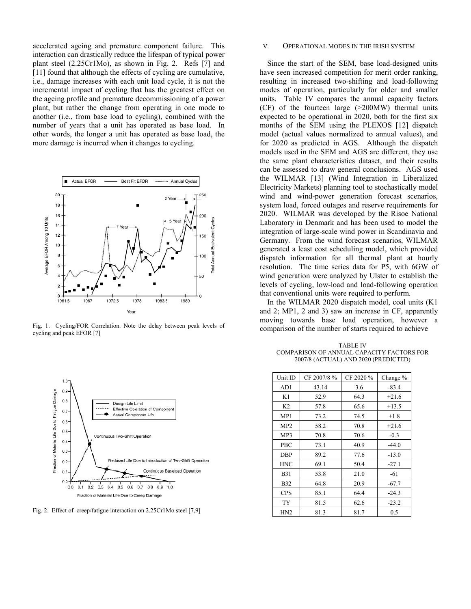accelerated ageing and premature component failure. This interaction can drastically reduce the lifespan of typical power plant steel (2.25Cr1Mo), as shown in Fig. 2. Refs [7] and [11] found that although the effects of cycling are cumulative, i.e., damage increases with each unit load cycle, it is not the incremental impact of cycling that has the greatest effect on the ageing profile and premature decommissioning of a power plant, but rather the change from operating in one mode to another (i.e., from base load to cycling), combined with the number of years that a unit has operated as base load. In other words, the longer a unit has operated as base load, the more damage is incurred when it changes to cycling.



Fig. 1. Cycling/FOR Correlation. Note the delay between peak levels of cycling and peak EFOR [7]



Fig. 2. Effect of creep/fatigue interaction on 2.25Cr1Mo steel [7,9]

#### V. OPERATIONAL MODES IN THE IRISH SYSTEM

Since the start of the SEM, base load-designed units have seen increased competition for merit order ranking, resulting in increased two-shifting and load-following modes of operation, particularly for older and smaller units. Table IV compares the annual capacity factors (CF) of the fourteen large (>200MW) thermal units expected to be operational in 2020, both for the first six months of the SEM using the PLEXOS [12] dispatch model (actual values normalized to annual values), and for 2020 as predicted in AGS. Although the dispatch models used in the SEM and AGS are different, they use the same plant characteristics dataset, and their results can be assessed to draw general conclusions. AGS used the WILMAR [13] (Wind Integration in Liberalized Electricity Markets) planning tool to stochastically model wind and wind-power generation forecast scenarios, system load, forced outages and reserve requirements for 2020. WILMAR was developed by the Risoe National Laboratory in Denmark and has been used to model the integration of large-scale wind power in Scandinavia and Germany. From the wind forecast scenarios, WILMAR generated a least cost scheduling model, which provided dispatch information for all thermal plant at hourly resolution. The time series data for P5, with 6GW of wind generation were analyzed by Ulster to establish the levels of cycling, low-load and load-following operation that conventional units were required to perform.

In the WILMAR 2020 dispatch model, coal units (K1 and 2; MP1, 2 and 3) saw an increase in CF, apparently moving towards base load operation, however a comparison of the number of starts required to achieve

TABLE IV COMPARISON OF ANNUAL CAPACITY FACTORS FOR 2007/8 (ACTUAL) AND 2020 (PREDICTED)

| Unit ID         | CF 2007/8 % | CF 2020 % | Change % |
|-----------------|-------------|-----------|----------|
| AD1             | 43.14       | 3.6       | $-83.4$  |
| K1              | 52.9        | 64.3      | $+21.6$  |
| K <sub>2</sub>  | 57.8        | 65.6      | $+13.5$  |
| MP1             | 73.2        | 74.5      | $+1.8$   |
| MP <sub>2</sub> | 58.2        | 70.8      | $+21.6$  |
| MP3             | 70.8        | 70.6      | $-0.3$   |
| PBC             | 73.1        | 40.9      | $-44.0$  |
| <b>DBP</b>      | 89.2        | 77.6      | $-13.0$  |
| <b>HNC</b>      | 69.1        | 50.4      | $-27.1$  |
| <b>B</b> 31     | 53.8        | 21.0      | $-61$    |
| <b>B32</b>      | 64.8        | 20.9      | $-67.7$  |
| <b>CPS</b>      | 85.1        | 64.4      | $-24.3$  |
| TY              | 81.5        | 62.6      | $-23.2$  |
| HN <sub>2</sub> | 81.3        | 81.7      | 0.5      |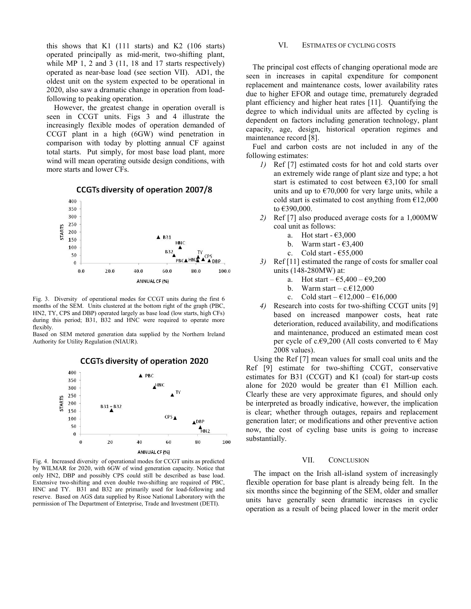this shows that K1 (111 starts) and K2 (106 starts) operated principally as mid-merit, two-shifting plant, while MP 1, 2 and 3 (11, 18 and 17 starts respectively) operated as near-base load (see section VII). AD1, the oldest unit on the system expected to be operational in 2020, also saw a dramatic change in operation from loadfollowing to peaking operation.

However, the greatest change in operation overall is seen in CCGT units. Figs 3 and 4 illustrate the increasingly flexible modes of operation demanded of CCGT plant in a high (6GW) wind penetration in comparison with today by plotting annual CF against total starts. Put simply, for most base load plant, more wind will mean operating outside design conditions, with more starts and lower CFs.

## **CCGTs diversity of operation 2007/8**



Fig. 3. Diversity of operational modes for CCGT units during the first 6 months of the SEM. Units clustered at the bottom right of the graph (PBC, HN2, TY, CPS and DBP) operated largely as base load (low starts, high CFs) during this period; B31, B32 and HNC were required to operate more flexibly.

Based on SEM metered generation data supplied by the Northern Ireland Authority for Utility Regulation (NIAUR).



Fig. 4. Increased diversity of operational modes for CCGT units as predicted by WILMAR for 2020, with 6GW of wind generation capacity. Notice that only HN2, DBP and possibly CPS could still be described as base load. Extensive two-shifting and even double two-shifting are required of PBC, HNC and TY. B31 and B32 are primarily used for load-following and reserve. Based on AGS data supplied by Risoe National Laboratory with the permission of The Department of Enterprise, Trade and Investment (DETI).

#### VI. ESTIMATES OF CYCLING COSTS

The principal cost effects of changing operational mode are seen in increases in capital expenditure for component replacement and maintenance costs, lower availability rates due to higher EFOR and outage time, prematurely degraded plant efficiency and higher heat rates [11]. Quantifying the degree to which individual units are affected by cycling is dependent on factors including generation technology, plant capacity, age, design, historical operation regimes and maintenance record [8].

Fuel and carbon costs are not included in any of the following estimates:

- *1)* Ref [7] estimated costs for hot and cold starts over an extremely wide range of plant size and type; a hot start is estimated to cost between  $\epsilon$ 3,100 for small units and up to  $\epsilon$ 70,000 for very large units, while a cold start is estimated to cost anything from  $E12,000$ to €390,000.
- *2)* Ref [7] also produced average costs for a 1,000MW coal unit as follows:
	- a. Hot start  $-63,000$
	- b. Warm start  $\epsilon$ 3,400
	- c. Cold start  $€55,000$
- *3)* Ref [11] estimated the range of costs for smaller coal units (148-280MW) at:
	- a. Hot start  $\text{\textsterling}5,400 \text{\textsterling}9,200$
	- b. Warm start  $c.f.12,000$
	- c. Cold start  $\text{\textsterling}12,000 \text{\textsterling}16,000$
- *4)* Research into costs for two-shifting CCGT units [9] based on increased manpower costs, heat rate deterioration, reduced availability, and modifications and maintenance, produced an estimated mean cost per cycle of c. $\epsilon$ 9,200 (All costs converted to  $\epsilon$  May 2008 values).

Using the Ref [7] mean values for small coal units and the Ref [9] estimate for two-shifting CCGT, conservative estimates for B31 (CCGT) and K1 (coal) for start-up costs alone for 2020 would be greater than  $\epsilon$ 1 Million each. Clearly these are very approximate figures, and should only be interpreted as broadly indicative, however, the implication is clear; whether through outages, repairs and replacement generation later; or modifications and other preventive action now, the cost of cycling base units is going to increase substantially.

#### VII. CONCLUSION

The impact on the Irish all-island system of increasingly flexible operation for base plant is already being felt. In the six months since the beginning of the SEM, older and smaller units have generally seen dramatic increases in cyclic operation as a result of being placed lower in the merit order